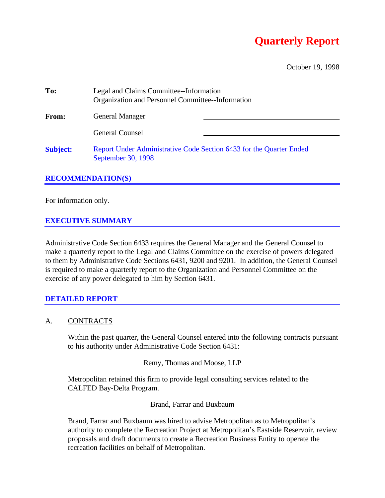# **Quarterly Report**

October 19, 1998

| To:             | Legal and Claims Committee--Information<br>Organization and Personnel Committee--Information |  |  |  |
|-----------------|----------------------------------------------------------------------------------------------|--|--|--|
| <b>From:</b>    | <b>General Manager</b>                                                                       |  |  |  |
|                 | <b>General Counsel</b>                                                                       |  |  |  |
| <b>Subject:</b> | Report Under Administrative Code Section 6433 for the Quarter Ended<br>September 30, 1998    |  |  |  |

#### **RECOMMENDATION(S)**

For information only.

### **EXECUTIVE SUMMARY**

Administrative Code Section 6433 requires the General Manager and the General Counsel to make a quarterly report to the Legal and Claims Committee on the exercise of powers delegated to them by Administrative Code Sections 6431, 9200 and 9201. In addition, the General Counsel is required to make a quarterly report to the Organization and Personnel Committee on the exercise of any power delegated to him by Section 6431.

#### **DETAILED REPORT**

#### A. CONTRACTS

Within the past quarter, the General Counsel entered into the following contracts pursuant to his authority under Administrative Code Section 6431:

#### Remy, Thomas and Moose, LLP

Metropolitan retained this firm to provide legal consulting services related to the CALFED Bay-Delta Program.

#### Brand, Farrar and Buxbaum

Brand, Farrar and Buxbaum was hired to advise Metropolitan as to Metropolitan's authority to complete the Recreation Project at Metropolitan's Eastside Reservoir, review proposals and draft documents to create a Recreation Business Entity to operate the recreation facilities on behalf of Metropolitan.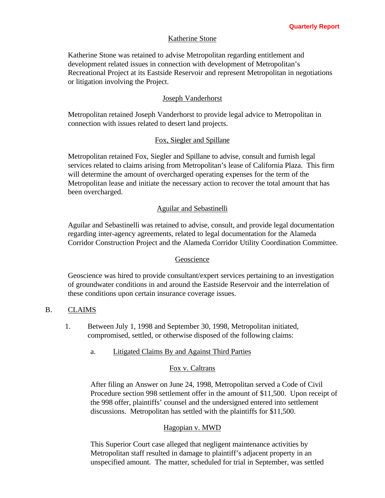#### Katherine Stone

Katherine Stone was retained to advise Metropolitan regarding entitlement and development related issues in connection with development of Metropolitan's Recreational Project at its Eastside Reservoir and represent Metropolitan in negotiations or litigation involving the Project.

#### Joseph Vanderhorst

Metropolitan retained Joseph Vanderhorst to provide legal advice to Metropolitan in connection with issues related to desert land projects.

#### Fox, Siegler and Spillane

Metropolitan retained Fox, Siegler and Spillane to advise, consult and furnish legal services related to claims arising from Metropolitan's lease of California Plaza. This firm will determine the amount of overcharged operating expenses for the term of the Metropolitan lease and initiate the necessary action to recover the total amount that has been overcharged.

#### Aguilar and Sebastinelli

Aguilar and Sebastinelli was retained to advise, consult, and provide legal documentation regarding inter-agency agreements, related to legal documentation for the Alameda Corridor Construction Project and the Alameda Corridor Utility Coordination Committee.

#### Geoscience

Geoscience was hired to provide consultant/expert services pertaining to an investigation of groundwater conditions in and around the Eastside Reservoir and the interrelation of these conditions upon certain insurance coverage issues.

#### B. CLAIMS

- 1. Between July 1, 1998 and September 30, 1998, Metropolitan initiated, compromised, settled, or otherwise disposed of the following claims:
	- a. Litigated Claims By and Against Third Parties

#### Fox v. Caltrans

After filing an Answer on June 24, 1998, Metropolitan served a Code of Civil Procedure section 998 settlement offer in the amount of \$11,500. Upon receipt of the 998 offer, plaintiffs' counsel and the undersigned entered into settlement discussions. Metropolitan has settled with the plaintiffs for \$11,500.

#### Hagopian v. MWD

This Superior Court case alleged that negligent maintenance activities by Metropolitan staff resulted in damage to plaintiff's adjacent property in an unspecified amount. The matter, scheduled for trial in September, was settled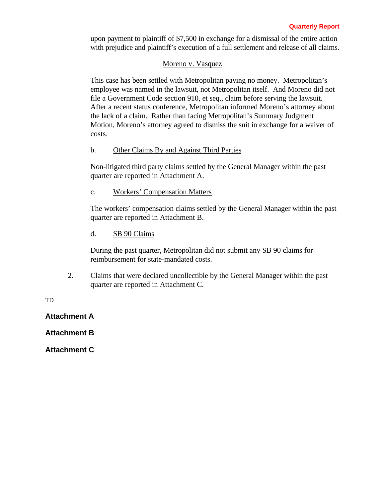upon payment to plaintiff of \$7,500 in exchange for a dismissal of the entire action with prejudice and plaintiff's execution of a full settlement and release of all claims.

#### Moreno v. Vasquez

This case has been settled with Metropolitan paying no money. Metropolitan's employee was named in the lawsuit, not Metropolitan itself. And Moreno did not file a Government Code section 910, et seq., claim before serving the lawsuit. After a recent status conference, Metropolitan informed Moreno's attorney about the lack of a claim. Rather than facing Metropolitan's Summary Judgment Motion, Moreno's attorney agreed to dismiss the suit in exchange for a waiver of costs.

#### b. Other Claims By and Against Third Parties

Non-litigated third party claims settled by the General Manager within the past quarter are reported in Attachment A.

## c. Workers' Compensation Matters

The workers' compensation claims settled by the General Manager within the past quarter are reported in Attachment B.

### d. SB 90 Claims

During the past quarter, Metropolitan did not submit any SB 90 claims for reimbursement for state-mandated costs.

2. Claims that were declared uncollectible by the General Manager within the past quarter are reported in Attachment C.

TD

**Attachment A**

**Attachment B**

**Attachment C**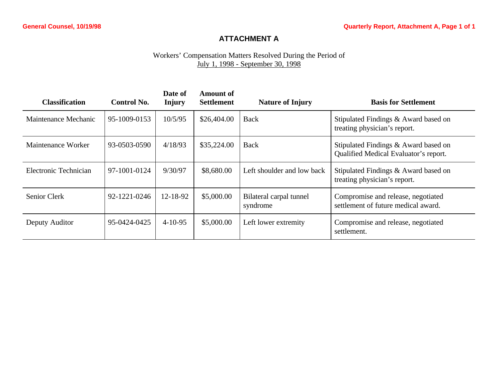# **ATTACHMENT A**

# Workers' Compensation Matters Resolved During the Period of July 1, 1998 - September 30, 1998

| <b>Classification</b> | <b>Control No.</b> | Date of<br><b>Injury</b> | <b>Amount of</b><br><b>Settlement</b> | <b>Nature of Injury</b>             | <b>Basis for Settlement</b>                                                   |
|-----------------------|--------------------|--------------------------|---------------------------------------|-------------------------------------|-------------------------------------------------------------------------------|
| Maintenance Mechanic  | 95-1009-0153       | 10/5/95                  | \$26,404.00                           | Back                                | Stipulated Findings & Award based on<br>treating physician's report.          |
| Maintenance Worker    | 93-0503-0590       | 4/18/93                  | \$35,224.00                           | Back                                | Stipulated Findings & Award based on<br>Qualified Medical Evaluator's report. |
| Electronic Technician | 97-1001-0124       | 9/30/97                  | \$8,680.00                            | Left shoulder and low back          | Stipulated Findings & Award based on<br>treating physician's report.          |
| Senior Clerk          | 92-1221-0246       | 12-18-92                 | \$5,000.00                            | Bilateral carpal tunnel<br>syndrome | Compromise and release, negotiated<br>settlement of future medical award.     |
| Deputy Auditor        | 95-0424-0425       | $4-10-95$                | \$5,000.00                            | Left lower extremity                | Compromise and release, negotiated<br>settlement.                             |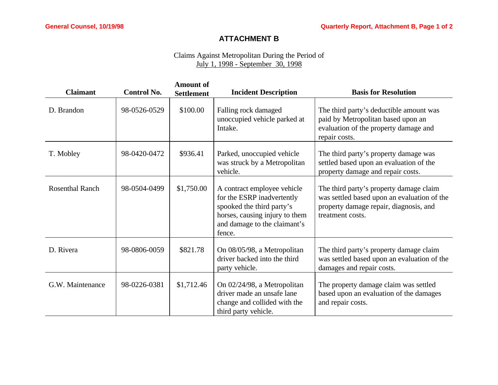# **ATTACHMENT B**

# Claims Against Metropolitan During the Period of July 1, 1998 - September 30, 1998

| <b>Claimant</b>        | <b>Control No.</b> | <b>Amount of</b><br><b>Settlement</b> | <b>Incident Description</b>                                                                                                                                        | <b>Basis for Resolution</b>                                                                                                                          |
|------------------------|--------------------|---------------------------------------|--------------------------------------------------------------------------------------------------------------------------------------------------------------------|------------------------------------------------------------------------------------------------------------------------------------------------------|
| D. Brandon             | 98-0526-0529       | \$100.00                              | Falling rock damaged<br>unoccupied vehicle parked at<br>Intake.                                                                                                    | The third party's deductible amount was<br>paid by Metropolitan based upon an<br>evaluation of the property damage and<br>repair costs.              |
| T. Mobley              | 98-0420-0472       | \$936.41                              | Parked, unoccupied vehicle<br>was struck by a Metropolitan<br>vehicle.                                                                                             | The third party's property damage was<br>settled based upon an evaluation of the<br>property damage and repair costs.                                |
| <b>Rosenthal Ranch</b> | 98-0504-0499       | \$1,750.00                            | A contract employee vehicle<br>for the ESRP inadvertently<br>spooked the third party's<br>horses, causing injury to them<br>and damage to the claimant's<br>fence. | The third party's property damage claim<br>was settled based upon an evaluation of the<br>property damage repair, diagnosis, and<br>treatment costs. |
| D. Rivera              | 98-0806-0059       | \$821.78                              | On 08/05/98, a Metropolitan<br>driver backed into the third<br>party vehicle.                                                                                      | The third party's property damage claim<br>was settled based upon an evaluation of the<br>damages and repair costs.                                  |
| G.W. Maintenance       | 98-0226-0381       | \$1,712.46                            | On 02/24/98, a Metropolitan<br>driver made an unsafe lane<br>change and collided with the<br>third party vehicle.                                                  | The property damage claim was settled<br>based upon an evaluation of the damages<br>and repair costs.                                                |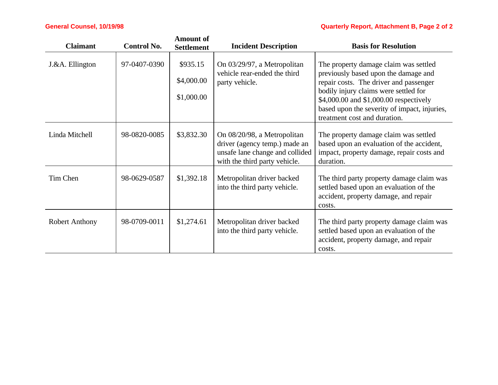# **General Counsel, 10/19/98 Quarterly Report, Attachment B, Page 2 of 2**

| <b>Claimant</b>       | <b>Control No.</b> | <b>Amount of</b><br><b>Settlement</b> | <b>Incident Description</b>                                                                                                      | <b>Basis for Resolution</b>                                                                                                                                                                                                                                                                |
|-----------------------|--------------------|---------------------------------------|----------------------------------------------------------------------------------------------------------------------------------|--------------------------------------------------------------------------------------------------------------------------------------------------------------------------------------------------------------------------------------------------------------------------------------------|
| J.&A. Ellington       | 97-0407-0390       | \$935.15<br>\$4,000.00<br>\$1,000.00  | On 03/29/97, a Metropolitan<br>vehicle rear-ended the third<br>party vehicle.                                                    | The property damage claim was settled<br>previously based upon the damage and<br>repair costs. The driver and passenger<br>bodily injury claims were settled for<br>\$4,000.00 and \$1,000.00 respectively<br>based upon the severity of impact, injuries,<br>treatment cost and duration. |
| Linda Mitchell        | 98-0820-0085       | \$3,832.30                            | On 08/20/98, a Metropolitan<br>driver (agency temp.) made an<br>unsafe lane change and collided<br>with the third party vehicle. | The property damage claim was settled<br>based upon an evaluation of the accident,<br>impact, property damage, repair costs and<br>duration.                                                                                                                                               |
| Tim Chen              | 98-0629-0587       | \$1,392.18                            | Metropolitan driver backed<br>into the third party vehicle.                                                                      | The third party property damage claim was<br>settled based upon an evaluation of the<br>accident, property damage, and repair<br>costs.                                                                                                                                                    |
| <b>Robert Anthony</b> | 98-0709-0011       | \$1,274.61                            | Metropolitan driver backed<br>into the third party vehicle.                                                                      | The third party property damage claim was<br>settled based upon an evaluation of the<br>accident, property damage, and repair<br>costs.                                                                                                                                                    |